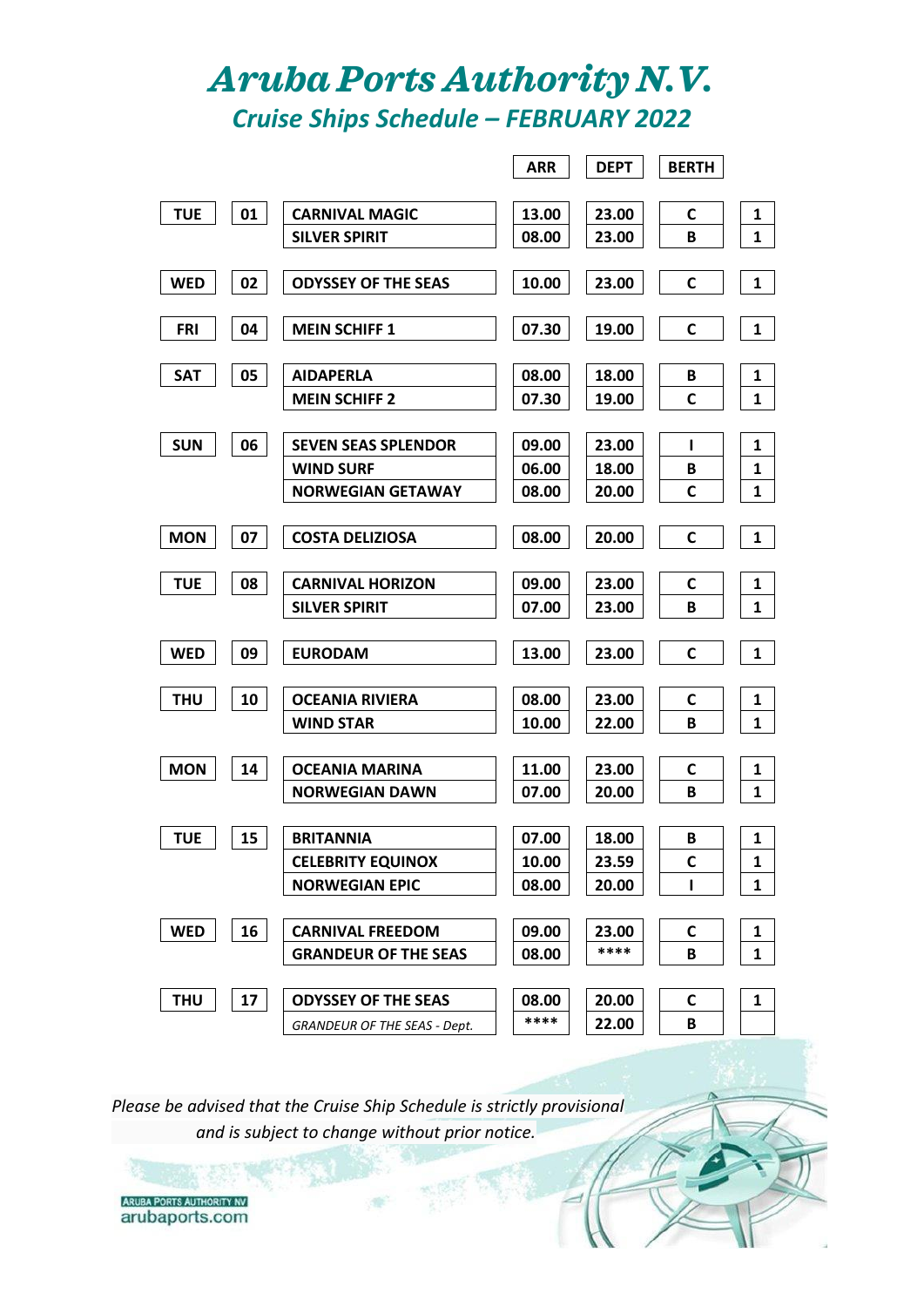## *Aruba Ports Authority N.V. Cruise Ships Schedule – FEBRUARY 2022*

|            |    |                                     | <b>ARR</b> | <b>DEPT</b> | <b>BERTH</b> |              |
|------------|----|-------------------------------------|------------|-------------|--------------|--------------|
|            |    |                                     |            |             |              |              |
| <b>TUE</b> | 01 | <b>CARNIVAL MAGIC</b>               | 13.00      | 23.00       | C            | $\mathbf{1}$ |
|            |    | <b>SILVER SPIRIT</b>                | 08.00      | 23.00       | В            | $\mathbf{1}$ |
|            |    |                                     |            |             |              |              |
| <b>WED</b> | 02 | <b>ODYSSEY OF THE SEAS</b>          | 10.00      | 23.00       | C            | $\mathbf{1}$ |
|            |    |                                     |            |             |              |              |
| <b>FRI</b> | 04 | <b>MEIN SCHIFF 1</b>                | 07.30      | 19.00       | C            | $\mathbf{1}$ |
| <b>SAT</b> | 05 | <b>AIDAPERLA</b>                    | 08.00      | 18.00       | В            | 1            |
|            |    | <b>MEIN SCHIFF 2</b>                | 07.30      | 19.00       | C            | 1            |
|            |    |                                     |            |             |              |              |
| <b>SUN</b> | 06 | <b>SEVEN SEAS SPLENDOR</b>          | 09.00      | 23.00       | п            | 1            |
|            |    | <b>WIND SURF</b>                    | 06.00      | 18.00       | В            | 1            |
|            |    | <b>NORWEGIAN GETAWAY</b>            | 08.00      | 20.00       | C            | $\mathbf{1}$ |
|            |    |                                     |            |             |              |              |
| <b>MON</b> | 07 | <b>COSTA DELIZIOSA</b>              | 08.00      | 20.00       | C            | $\mathbf{1}$ |
|            |    |                                     |            |             |              |              |
| <b>TUE</b> | 08 | <b>CARNIVAL HORIZON</b>             | 09.00      | 23.00       | C            | 1            |
|            |    | <b>SILVER SPIRIT</b>                | 07.00      | 23.00       | В            | $\mathbf{1}$ |
|            |    |                                     |            |             |              |              |
| <b>WED</b> | 09 | <b>EURODAM</b>                      | 13.00      | 23.00       | C            | $\mathbf{1}$ |
|            |    |                                     |            |             |              |              |
| <b>THU</b> | 10 | <b>OCEANIA RIVIERA</b>              | 08.00      | 23.00       | C            | 1            |
|            |    | <b>WIND STAR</b>                    | 10.00      | 22.00       | В            | 1            |
| <b>MON</b> | 14 | OCEANIA MARINA                      | 11.00      | 23.00       | C            | 1            |
|            |    | <b>NORWEGIAN DAWN</b>               | 07.00      | 20.00       | В            | $\mathbf{1}$ |
|            |    |                                     |            |             |              |              |
| <b>TUE</b> | 15 | <b>BRITANNIA</b>                    | 07.00      | 18.00       | B            | $\mathbf{1}$ |
|            |    | <b>CELEBRITY EQUINOX</b>            | 10.00      | 23.59       | C            | 1            |
|            |    | <b>NORWEGIAN EPIC</b>               | 08.00      | 20.00       | L            | $\mathbf{1}$ |
|            |    |                                     |            |             |              |              |
| <b>WED</b> | 16 | <b>CARNIVAL FREEDOM</b>             | 09.00      | 23.00       | C            | $\mathbf{1}$ |
|            |    | <b>GRANDEUR OF THE SEAS</b>         | 08.00      | ****        | B            | $\mathbf{1}$ |
|            |    |                                     |            |             |              |              |
| <b>THU</b> | 17 | <b>ODYSSEY OF THE SEAS</b>          | 08.00      | 20.00       | C            | 1            |
|            |    | <b>GRANDEUR OF THE SEAS - Dept.</b> | ****       | 22.00       | В            |              |

*Please be advised that the Cruise Ship Schedule is strictly provisional and is subject to change without prior notice.*

**ARUBA PORTS AUTHORITY NV** arubaports.com